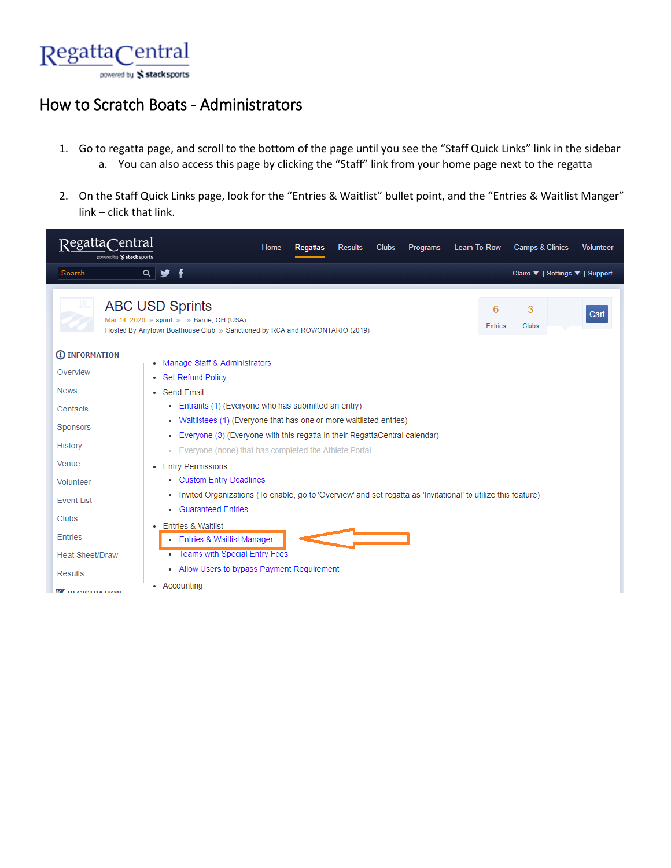

## How to Scratch Boats - Administrators

- 1. Go to regatta page, and scroll to the bottom of the page until you see the "Staff Quick Links" link in the sidebar a. You can also access this page by clicking the "Staff" link from your home page next to the regatta
- 2. On the Staff Quick Links page, look for the "Entries & Waitlist" bullet point, and the "Entries & Waitlist Manger" link – click that link.

| $\mathsf{Regatta}$ Central<br>powered by Stacksports | <b>Camps &amp; Clinics</b><br>Home<br><b>Clubs</b><br>Programs<br>Learn-To-Row<br><b>Regattas</b><br><b>Results</b><br><b>Volunteer</b>                                                         |  |  |  |  |  |  |  |  |
|------------------------------------------------------|-------------------------------------------------------------------------------------------------------------------------------------------------------------------------------------------------|--|--|--|--|--|--|--|--|
| Search                                               | $\overline{a}$<br>₩f<br>Claire ▼   Settings ▼   Support                                                                                                                                         |  |  |  |  |  |  |  |  |
|                                                      | <b>ABC USD Sprints</b><br>3<br>6<br>Cart<br>Mar 14, 2020 » sprint » » Barrie, OH (USA)<br><b>Entries</b><br>Clubs<br>Hosted By Anytown Boathouse Club » Sanctioned by RCA and ROWONTARIO (2019) |  |  |  |  |  |  |  |  |
| 1 INFORMATION                                        | Manage Staff & Administrators                                                                                                                                                                   |  |  |  |  |  |  |  |  |
| Overview                                             | • Set Refund Policy                                                                                                                                                                             |  |  |  |  |  |  |  |  |
| <b>News</b>                                          | • Send Email                                                                                                                                                                                    |  |  |  |  |  |  |  |  |
| Contacts                                             | • Entrants (1) (Everyone who has submitted an entry)                                                                                                                                            |  |  |  |  |  |  |  |  |
| Sponsors                                             | Waitlistees (1) (Everyone that has one or more waitlisted entries)<br>$\bullet$                                                                                                                 |  |  |  |  |  |  |  |  |
|                                                      | • Everyone (3) (Everyone with this regatta in their RegattaCentral calendar)                                                                                                                    |  |  |  |  |  |  |  |  |
| <b>History</b>                                       | • Everyone (none) that has completed the Athlete Portal                                                                                                                                         |  |  |  |  |  |  |  |  |
| Venue                                                | <b>Entry Permissions</b><br>٠                                                                                                                                                                   |  |  |  |  |  |  |  |  |
| Volunteer                                            | • Custom Entry Deadlines                                                                                                                                                                        |  |  |  |  |  |  |  |  |
| <b>Event List</b>                                    | • Invited Organizations (To enable, go to 'Overview' and set regatta as 'Invitational' to utilize this feature)                                                                                 |  |  |  |  |  |  |  |  |
| <b>Clubs</b>                                         | • Guaranteed Entries                                                                                                                                                                            |  |  |  |  |  |  |  |  |
|                                                      | <b>Entries &amp; Waitlist</b><br>٠                                                                                                                                                              |  |  |  |  |  |  |  |  |
| <b>Entries</b>                                       | • Entries & Waitlist Manager                                                                                                                                                                    |  |  |  |  |  |  |  |  |
| <b>Heat Sheet/Draw</b>                               | • Teams with Special Entry Fees                                                                                                                                                                 |  |  |  |  |  |  |  |  |
| <b>Results</b>                                       | • Allow Users to bypass Payment Requirement                                                                                                                                                     |  |  |  |  |  |  |  |  |
| <b>DECISTDATION</b>                                  | • Accounting                                                                                                                                                                                    |  |  |  |  |  |  |  |  |
|                                                      |                                                                                                                                                                                                 |  |  |  |  |  |  |  |  |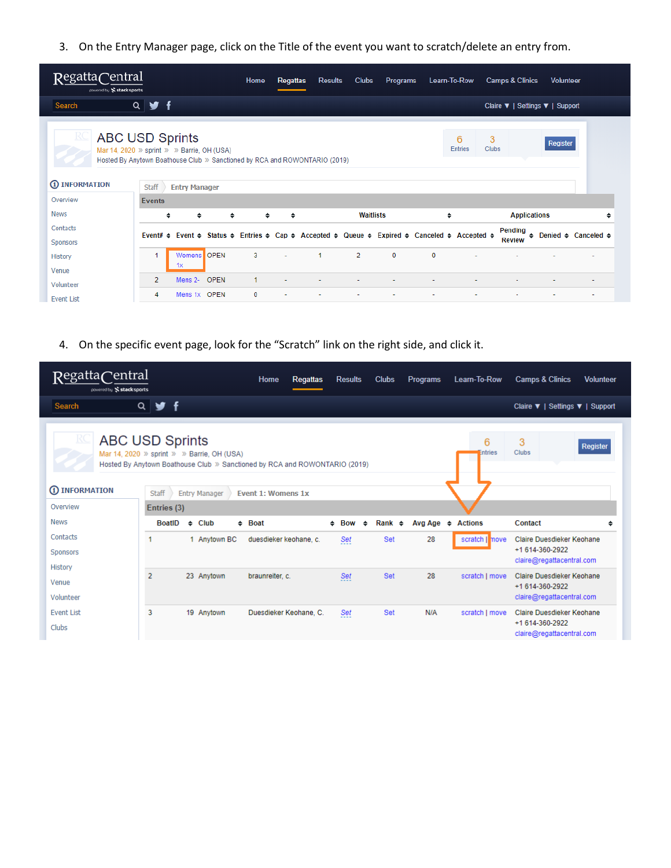3. On the Entry Manager page, click on the Title of the event you want to scratch/delete an entry from.

| RegattaCentral<br>powered by Stacksports                                                                                                                                                            |                   |                      |   | Home   | <b>Regattas</b> | <b>Results</b>                                                                                                                                 | <b>Clubs</b>     | <b>Programs</b> | Learn-To-Row | <b>Camps &amp; Clinics</b>      | <b>Volunteer</b> |                               |
|-----------------------------------------------------------------------------------------------------------------------------------------------------------------------------------------------------|-------------------|----------------------|---|--------|-----------------|------------------------------------------------------------------------------------------------------------------------------------------------|------------------|-----------------|--------------|---------------------------------|------------------|-------------------------------|
| Search                                                                                                                                                                                              | $y$ f<br>$Q \mid$ |                      |   |        |                 |                                                                                                                                                |                  |                 |              | Claire ▼   Settings ▼   Support |                  |                               |
| <b>ABC USD Sprints</b><br>3<br>6<br>Register<br>Clubs<br><b>Entries</b><br>Mar 14, 2020 » sprint » » Barrie, OH (USA)<br>Hosted By Anytown Boathouse Club » Sanctioned by RCA and ROWONTARIO (2019) |                   |                      |   |        |                 |                                                                                                                                                |                  |                 |              |                                 |                  |                               |
| 1 INFORMATION                                                                                                                                                                                       | <b>Staff</b>      | <b>Entry Manager</b> |   |        |                 |                                                                                                                                                |                  |                 |              |                                 |                  |                               |
| Overview                                                                                                                                                                                            | <b>Events</b>     |                      |   |        |                 |                                                                                                                                                |                  |                 |              |                                 |                  |                               |
| <b>News</b>                                                                                                                                                                                         | ٠                 | ٠                    | ٠ | $\div$ | ٠               |                                                                                                                                                | <b>Waitlists</b> |                 | ٠            | <b>Applications</b>             |                  | ٠                             |
| Contacts                                                                                                                                                                                            |                   |                      |   |        |                 | Event# $\div$ Event $\div$ Status $\div$ Entries $\div$ Cap $\div$ Accepted $\div$ Queue $\div$ Expired $\div$ Canceled $\div$ Accepted $\div$ |                  |                 |              | Pending<br>٠                    |                  | Denied $\div$ Canceled $\div$ |
| Sponsors                                                                                                                                                                                            |                   |                      |   |        |                 |                                                                                                                                                |                  |                 |              | <b>Review</b>                   |                  |                               |
| History                                                                                                                                                                                             |                   | Womens OPEN          |   | 3      | ÷               | 1                                                                                                                                              | $\overline{2}$   | $\bf{0}$        | $\mathbf 0$  |                                 |                  |                               |
| Venue                                                                                                                                                                                               |                   | 1x                   |   |        |                 |                                                                                                                                                |                  |                 |              |                                 |                  |                               |
| Volunteer                                                                                                                                                                                           | $\overline{2}$    | Mens 2- OPEN         |   | 1.     |                 |                                                                                                                                                |                  |                 |              |                                 |                  |                               |
| <b>Event List</b>                                                                                                                                                                                   | 4                 | Mens 1x OPEN         |   | 0      |                 |                                                                                                                                                |                  |                 |              |                                 |                  |                               |

4. On the specific event page, look for the "Scratch" link on the right side, and click it.

| RegattaCentral<br>powered by Stacksports                                                                                                                                                     |                                                                   | Home<br><b>Regattas</b> | <b>Results</b>  | <b>Clubs</b>      | <b>Programs</b> | Learn-To-Row   | <b>Camps &amp; Clinics</b><br><b>Volunteer</b> |   |  |
|----------------------------------------------------------------------------------------------------------------------------------------------------------------------------------------------|-------------------------------------------------------------------|-------------------------|-----------------|-------------------|-----------------|----------------|------------------------------------------------|---|--|
| Search                                                                                                                                                                                       | y f<br>$\alpha$                                                   |                         |                 |                   |                 |                | Claire ▼   Settings ▼   Support                |   |  |
| <b>ABC USD Sprints</b><br>3<br>6<br>Register<br>Clubs<br>Entries<br>Mar 14, 2020 » sprint » » Barrie, OH (USA)<br>Hosted By Anytown Boathouse Club » Sanctioned by RCA and ROWONTARIO (2019) |                                                                   |                         |                 |                   |                 |                |                                                |   |  |
| 1 INFORMATION                                                                                                                                                                                | <b>Staff</b><br><b>Event 1: Womens 1x</b><br><b>Entry Manager</b> |                         |                 |                   |                 |                |                                                |   |  |
| Overview                                                                                                                                                                                     | Entries (3)                                                       |                         |                 |                   |                 |                |                                                |   |  |
| <b>News</b>                                                                                                                                                                                  | <b>BoatID</b><br>$\div$ Club                                      | $\div$ Boat             | $\div$ Bow<br>٠ | Rank $\triangleq$ | Avg Age $\div$  | <b>Actions</b> | Contact                                        | ٠ |  |
| Contacts                                                                                                                                                                                     | 1 Anytown BC<br>1                                                 | duesdieker keohane, c.  | Set             | Set               | 28              | scratch   nove | Claire Duesdieker Keohane                      |   |  |
| <b>Sponsors</b>                                                                                                                                                                              |                                                                   | +1 614-360-2922         |                 |                   |                 |                | claire@regattacentral.com                      |   |  |
| <b>History</b>                                                                                                                                                                               | $\overline{2}$<br>23 Anytown                                      | braunreiter, c.         | Set             | Set               | 28              | scratch   move | Claire Duesdieker Keohane                      |   |  |
| Venue                                                                                                                                                                                        |                                                                   |                         |                 |                   |                 |                | +1 614-360-2922                                |   |  |
| Volunteer                                                                                                                                                                                    |                                                                   |                         |                 |                   |                 |                | claire@regattacentral.com                      |   |  |
| <b>Event List</b>                                                                                                                                                                            | 3<br>19 Anytown                                                   | Duesdieker Keohane, C.  | Set             | <b>Set</b>        | N/A             | scratch   move | Claire Duesdieker Keohane                      |   |  |
| <b>Clubs</b>                                                                                                                                                                                 |                                                                   |                         |                 |                   |                 |                | +1 614-360-2922<br>claire@regattacentral.com   |   |  |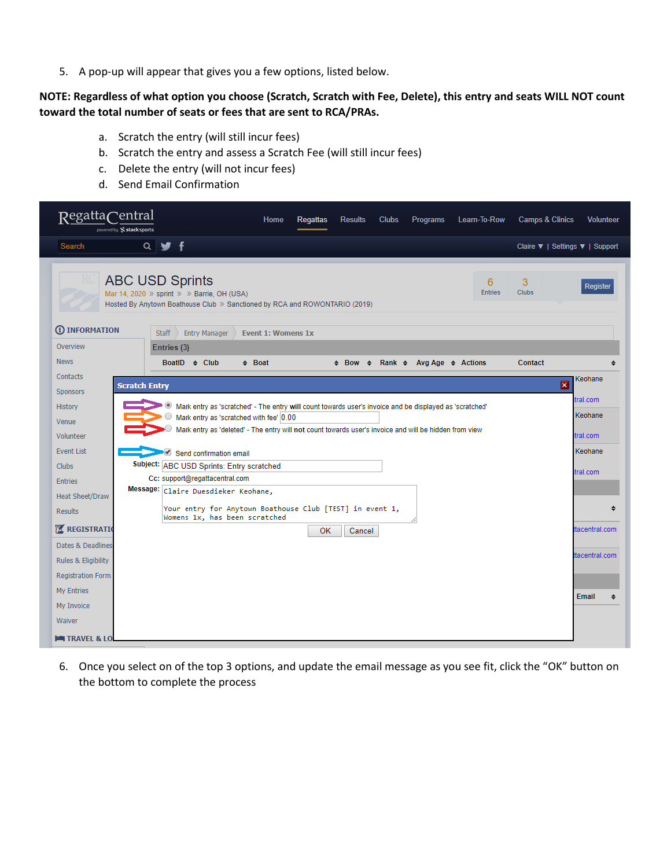5. A pop-up will appear that gives you a few options, listed below.

## **NOTE: Regardless of what option you choose (Scratch, Scratch with Fee, Delete), this entry and seats WILL NOT count toward the total number of seats or fees that are sent to RCA/PRAs.**

- a. Scratch the entry (will still incur fees)
- b. Scratch the entry and assess a Scratch Fee (will still incur fees)
- c. Delete the entry (will not incur fees)
- d. Send Email Confirmation

| ~entral<br>Regatta <b>(</b><br>powered by Stacksports | Home<br><b>Clubs</b><br><b>Camps &amp; Clinics</b><br><b>Regattas</b><br><b>Results</b><br>Programs<br>Learn-To-Row                                                                     | <b>Volunteer</b>                |
|-------------------------------------------------------|-----------------------------------------------------------------------------------------------------------------------------------------------------------------------------------------|---------------------------------|
| Search                                                | $Q \times f$                                                                                                                                                                            | Claire ▼   Settings ▼   Support |
|                                                       | <b>ABC USD Sprints</b><br>3<br>6<br><b>Entries</b><br>Clubs<br>Mar 14, 2020 » sprint » » Barrie, OH (USA)<br>Hosted By Anytown Boathouse Club » Sanctioned by RCA and ROWONTARIO (2019) | <b>Register</b>                 |
| <b>1</b> INFORMATION                                  | <b>Staff</b><br><b>Entry Manager</b><br><b>Event 1: Womens 1x</b>                                                                                                                       |                                 |
| Overview                                              | Entries (3)                                                                                                                                                                             |                                 |
| <b>News</b>                                           | BoatID $\div$ Club<br>$\div$ Boat<br>Contact<br>$\div$ Bow $\div$ Rank $\div$ Avg Age $\div$ Actions                                                                                    |                                 |
| Contacts                                              |                                                                                                                                                                                         | Keohane                         |
| Sponsors                                              | <b>Scratch Entry</b>                                                                                                                                                                    | ×                               |
| <b>History</b>                                        | Mark entry as 'scratched' - The entry will count towards user's invoice and be displayed as 'scratched'                                                                                 | tral.com                        |
| Venue                                                 | Mark entry as 'scratched with fee' 0.00                                                                                                                                                 | Keohane                         |
| Volunteer                                             | Mark entry as 'deleted' - The entry will not count towards user's invoice and will be hidden from view                                                                                  | tral.com                        |
| <b>Event List</b>                                     | Send confirmation email                                                                                                                                                                 | Keohane                         |
| <b>Clubs</b>                                          | Subject: ABC USD Sprints: Entry scratched                                                                                                                                               |                                 |
| <b>Entries</b>                                        | Cc: support@regattacentral.com                                                                                                                                                          | tral.com                        |
| <b>Heat Sheet/Draw</b>                                | Message: Claire Duesdieker Keohane,                                                                                                                                                     |                                 |
| <b>Results</b>                                        | Your entry for Anytown Boathouse Club [TEST] in event 1,<br>Womens 1x, has been scratched                                                                                               | ٠                               |
| <b>Z REGISTRATIO</b>                                  | <b>OK</b><br>Cancel                                                                                                                                                                     | ttacentral.com                  |
| Dates & Deadlines                                     |                                                                                                                                                                                         |                                 |
| Rules & Eligibility                                   |                                                                                                                                                                                         | ttacentral.com                  |
| <b>Registration Form</b>                              |                                                                                                                                                                                         |                                 |
| My Entries                                            |                                                                                                                                                                                         |                                 |
| My Invoice                                            |                                                                                                                                                                                         | <b>Email</b>                    |
| Waiver                                                |                                                                                                                                                                                         |                                 |
| <b>EXAMPLE &amp; LO</b>                               |                                                                                                                                                                                         |                                 |

6. Once you select on of the top 3 options, and update the email message as you see fit, click the "OK" button on the bottom to complete the process